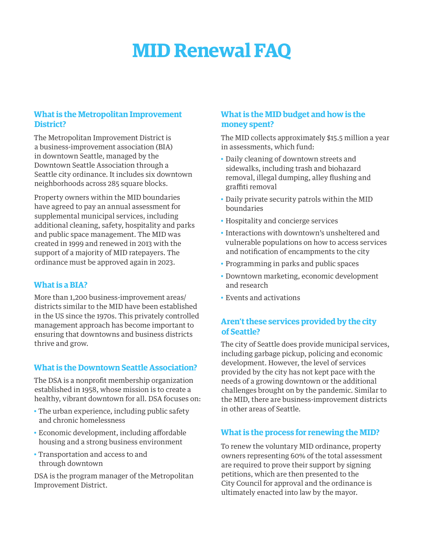# **MID Renewal FAQ**

# **What is the Metropolitan Improvement District?**

The Metropolitan Improvement District is a business-improvement association (BIA) in downtown Seattle, managed by the Downtown Seattle Association through a Seattle city ordinance. It includes six downtown neighborhoods across 285 square blocks.

Property owners within the MID boundaries have agreed to pay an annual assessment for supplemental municipal services, including additional cleaning, safety, hospitality and parks and public space management. The MID was created in 1999 and renewed in 2013 with the support of a majority of MID ratepayers. The ordinance must be approved again in 2023.

#### **What is a BIA?**

More than 1,200 business-improvement areas/ districts similar to the MID have been established in the US since the 1970s. This privately controlled management approach has become important to ensuring that downtowns and business districts thrive and grow.

#### **What is the Downtown Seattle Association?**

The DSA is a nonprofit membership organization established in 1958, whose mission is to create a healthy, vibrant downtown for all. DSA focuses on:

- The urban experience, including public safety and chronic homelessness
- Economic development, including affordable housing and a strong business environment
- Transportation and access to and through downtown

DSA is the program manager of the Metropolitan Improvement District.

# **What is the MID budget and how is the money spent?**

The MID collects approximately \$15.5 million a year in assessments, which fund:

- Daily cleaning of downtown streets and sidewalks, including trash and biohazard removal, illegal dumping, alley flushing and graffiti removal
- Daily private security patrols within the MID boundaries
- Hospitality and concierge services
- Interactions with downtown's unsheltered and vulnerable populations on how to access services and notification of encampments to the city
- Programming in parks and public spaces
- Downtown marketing, economic development and research
- Events and activations

# **Aren't these services provided by the city of Seattle?**

The city of Seattle does provide municipal services, including garbage pickup, policing and economic development. However, the level of services provided by the city has not kept pace with the needs of a growing downtown or the additional challenges brought on by the pandemic. Similar to the MID, there are business-improvement districts in other areas of Seattle.

#### **What is the process for renewing the MID?**

To renew the voluntary MID ordinance, property owners representing 60% of the total assessment are required to prove their support by signing petitions, which are then presented to the City Council for approval and the ordinance is ultimately enacted into law by the mayor.